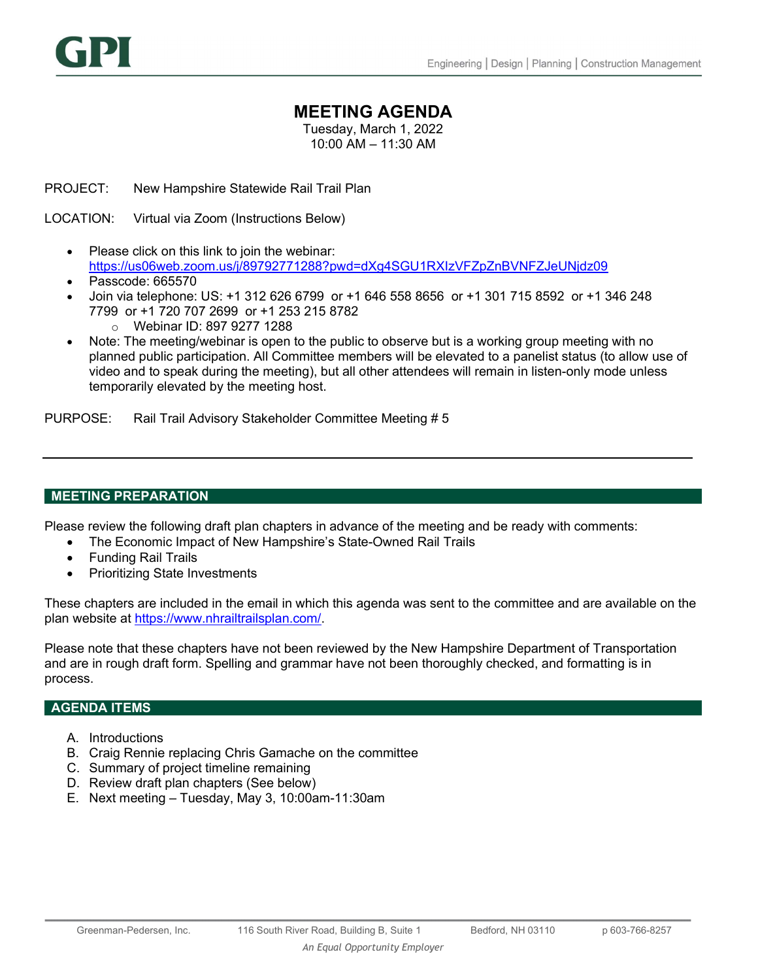# MEETING AGENDA

Tuesday, March 1, 2022 10:00 AM – 11:30 AM

PROJECT: New Hampshire Statewide Rail Trail Plan

LOCATION: Virtual via Zoom (Instructions Below)

- Please click on this link to join the webinar: https://us06web.zoom.us/j/89792771288?pwd=dXg4SGU1RXIzVFZpZnBVNFZJeUNjdz09
- Passcode: 665570
- Join via telephone: US: +1 312 626 6799 or +1 646 558 8656 or +1 301 715 8592 or +1 346 248 7799 or +1 720 707 2699 or +1 253 215 8782
	- o Webinar ID: 897 9277 1288
- Note: The meeting/webinar is open to the public to observe but is a working group meeting with no planned public participation. All Committee members will be elevated to a panelist status (to allow use of video and to speak during the meeting), but all other attendees will remain in listen-only mode unless temporarily elevated by the meeting host.

PURPOSE: Rail Trail Advisory Stakeholder Committee Meeting # 5

# MEETING PREPARATION

Please review the following draft plan chapters in advance of the meeting and be ready with comments:

- The Economic Impact of New Hampshire's State-Owned Rail Trails
- Funding Rail Trails
- Prioritizing State Investments

These chapters are included in the email in which this agenda was sent to the committee and are available on the plan website at https://www.nhrailtrailsplan.com/.

Please note that these chapters have not been reviewed by the New Hampshire Department of Transportation and are in rough draft form. Spelling and grammar have not been thoroughly checked, and formatting is in process.

# AGENDA ITEMS

- A. Introductions
- B. Craig Rennie replacing Chris Gamache on the committee
- C. Summary of project timeline remaining
- D. Review draft plan chapters (See below)
- E. Next meeting Tuesday, May 3, 10:00am-11:30am